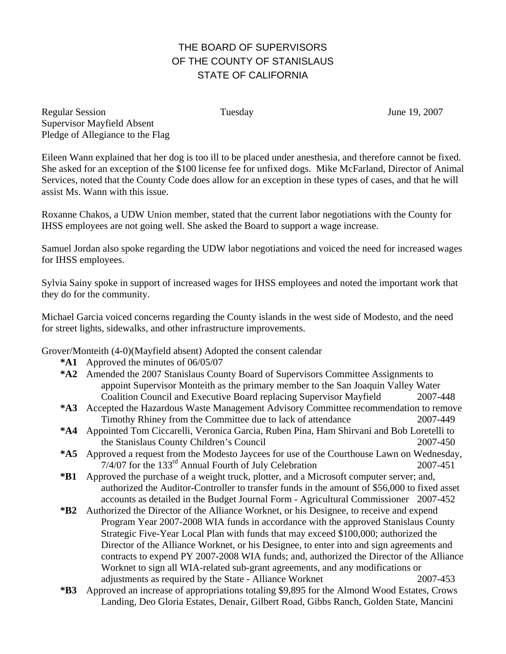## THE BOARD OF SUPERVISORS OF THE COUNTY OF STANISLAUS STATE OF CALIFORNIA

Regular Session Tuesday June 19, 2007 Supervisor Mayfield Absent Pledge of Allegiance to the Flag

Eileen Wann explained that her dog is too ill to be placed under anesthesia, and therefore cannot be fixed. She asked for an exception of the \$100 license fee for unfixed dogs. Mike McFarland, Director of Animal Services, noted that the County Code does allow for an exception in these types of cases, and that he will assist Ms. Wann with this issue.

Roxanne Chakos, a UDW Union member, stated that the current labor negotiations with the County for IHSS employees are not going well. She asked the Board to support a wage increase.

Samuel Jordan also spoke regarding the UDW labor negotiations and voiced the need for increased wages for IHSS employees.

Sylvia Sainy spoke in support of increased wages for IHSS employees and noted the important work that they do for the community.

Michael Garcia voiced concerns regarding the County islands in the west side of Modesto, and the need for street lights, sidewalks, and other infrastructure improvements.

Grover/Monteith (4-0)(Mayfield absent) Adopted the consent calendar

- **\*A1** Approved the minutes of 06/05/07
- **\*A2** Amended the 2007 Stanislaus County Board of Supervisors Committee Assignments to appoint Supervisor Monteith as the primary member to the San Joaquin Valley Water Coalition Council and Executive Board replacing Supervisor Mayfield 2007-448
- **\*A3** Accepted the Hazardous Waste Management Advisory Committee recommendation to remove Timothy Rhiney from the Committee due to lack of attendance 2007-449
- **\*A4** Appointed Tom Ciccarelli, Veronica Garcia, Ruben Pina, Ham Shirvani and Bob Loretelli to the Stanislaus County Children's Council 2007-450
- **\*A5** Approved a request from the Modesto Jaycees for use of the Courthouse Lawn on Wednesday,  $7/4/07$  for the 133<sup>rd</sup> Annual Fourth of July Celebration 2007-451
- **\*B1** Approved the purchase of a weight truck, plotter, and a Microsoft computer server; and, authorized the Auditor-Controller to transfer funds in the amount of \$56,000 to fixed asset accounts as detailed in the Budget Journal Form - Agricultural Commissioner 2007-452
- **\*B2** Authorized the Director of the Alliance Worknet, or his Designee, to receive and expend Program Year 2007-2008 WIA funds in accordance with the approved Stanislaus County Strategic Five-Year Local Plan with funds that may exceed \$100,000; authorized the Director of the Alliance Worknet, or his Designee, to enter into and sign agreements and contracts to expend PY 2007-2008 WIA funds; and, authorized the Director of the Alliance Worknet to sign all WIA-related sub-grant agreements, and any modifications or adjustments as required by the State - Alliance Worknet 2007-453
- **\*B3** Approved an increase of appropriations totaling \$9,895 for the Almond Wood Estates, Crows Landing, Deo Gloria Estates, Denair, Gilbert Road, Gibbs Ranch, Golden State, Mancini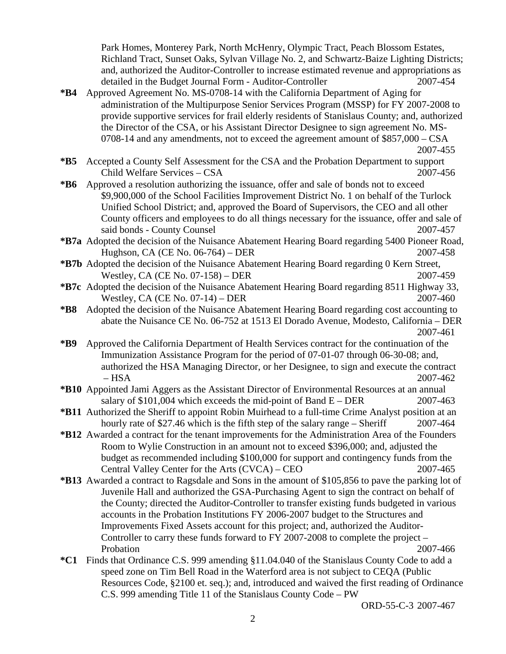Park Homes, Monterey Park, North McHenry, Olympic Tract, Peach Blossom Estates, Richland Tract, Sunset Oaks, Sylvan Village No. 2, and Schwartz-Baize Lighting Districts; and, authorized the Auditor-Controller to increase estimated revenue and appropriations as detailed in the Budget Journal Form - Auditor-Controller 2007-454

**\*B4** Approved Agreement No. MS-0708-14 with the California Department of Aging for administration of the Multipurpose Senior Services Program (MSSP) for FY 2007-2008 to provide supportive services for frail elderly residents of Stanislaus County; and, authorized the Director of the CSA, or his Assistant Director Designee to sign agreement No. MS-0708-14 and any amendments, not to exceed the agreement amount of \$857,000 – CSA 2007-455

- **\*B6** Approved a resolution authorizing the issuance, offer and sale of bonds not to exceed \$9,900,000 of the School Facilities Improvement District No. 1 on behalf of the Turlock Unified School District; and, approved the Board of Supervisors, the CEO and all other County officers and employees to do all things necessary for the issuance, offer and sale of said bonds - County Counsel 2007-457
- **\*B7a** Adopted the decision of the Nuisance Abatement Hearing Board regarding 5400 Pioneer Road, Hughson, CA (CE No. 06-764) – DER 2007-458
- **\*B7b** Adopted the decision of the Nuisance Abatement Hearing Board regarding 0 Kern Street, Westley, CA (CE No. 07-158) – DER 2007-459
- **\*B7c** Adopted the decision of the Nuisance Abatement Hearing Board regarding 8511 Highway 33, Westley, CA (CE No. 07-14) – DER 2007-460
- **\*B8** Adopted the decision of the Nuisance Abatement Hearing Board regarding cost accounting to abate the Nuisance CE No. 06-752 at 1513 El Dorado Avenue, Modesto, California – DER 2007-461
- **\*B9** Approved the California Department of Health Services contract for the continuation of the Immunization Assistance Program for the period of 07-01-07 through 06-30-08; and, authorized the HSA Managing Director, or her Designee, to sign and execute the contract – HSA 2007-462
- **\*B10** Appointed Jami Aggers as the Assistant Director of Environmental Resources at an annual salary of  $$101,004$  which exceeds the mid-point of Band  $E - DER$  2007-463
- **\*B11** Authorized the Sheriff to appoint Robin Muirhead to a full-time Crime Analyst position at an hourly rate of \$27.46 which is the fifth step of the salary range – Sheriff 2007-464
- **\*B12** Awarded a contract for the tenant improvements for the Administration Area of the Founders Room to Wylie Construction in an amount not to exceed \$396,000; and, adjusted the budget as recommended including \$100,000 for support and contingency funds from the Central Valley Center for the Arts (CVCA) – CEO 2007-465
- **\*B13** Awarded a contract to Ragsdale and Sons in the amount of \$105,856 to pave the parking lot of Juvenile Hall and authorized the GSA-Purchasing Agent to sign the contract on behalf of the County; directed the Auditor-Controller to transfer existing funds budgeted in various accounts in the Probation Institutions FY 2006-2007 budget to the Structures and Improvements Fixed Assets account for this project; and, authorized the Auditor-Controller to carry these funds forward to FY 2007-2008 to complete the project – Probation 2007-466
- **\*C1** Finds that Ordinance C.S. 999 amending §11.04.040 of the Stanislaus County Code to add a speed zone on Tim Bell Road in the Waterford area is not subject to CEQA (Public Resources Code, §2100 et. seq.); and, introduced and waived the first reading of Ordinance C.S. 999 amending Title 11 of the Stanislaus County Code – PW

ORD-55-C-3 2007-467

**<sup>\*</sup>B5** Accepted a County Self Assessment for the CSA and the Probation Department to support Child Welfare Services – CSA 2007-456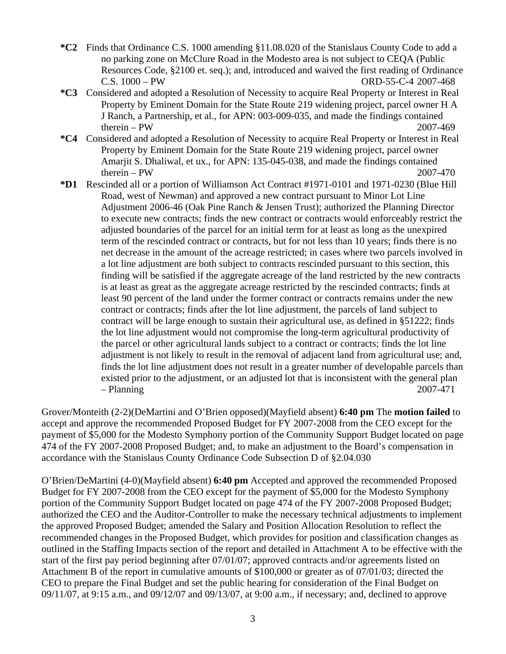- **\*C2** Finds that Ordinance C.S. 1000 amending §11.08.020 of the Stanislaus County Code to add a no parking zone on McClure Road in the Modesto area is not subject to CEQA (Public Resources Code, §2100 et. seq.); and, introduced and waived the first reading of Ordinance C.S. 1000 – PW ORD-55-C-4 2007-468
- **\*C3** Considered and adopted a Resolution of Necessity to acquire Real Property or Interest in Real Property by Eminent Domain for the State Route 219 widening project, parcel owner H A J Ranch, a Partnership, et al., for APN: 003-009-035, and made the findings contained  $therein - PW$  2007-469
- **\*C4** Considered and adopted a Resolution of Necessity to acquire Real Property or Interest in Real Property by Eminent Domain for the State Route 219 widening project, parcel owner Amarjit S. Dhaliwal, et ux., for APN: 135-045-038, and made the findings contained  $therein - PW$  2007-470
- **\*D1** Rescinded all or a portion of Williamson Act Contract #1971-0101 and 1971-0230 (Blue Hill Road, west of Newman) and approved a new contract pursuant to Minor Lot Line Adjustment 2006-46 (Oak Pine Ranch & Jensen Trust); authorized the Planning Director to execute new contracts; finds the new contract or contracts would enforceably restrict the adjusted boundaries of the parcel for an initial term for at least as long as the unexpired term of the rescinded contract or contracts, but for not less than 10 years; finds there is no net decrease in the amount of the acreage restricted; in cases where two parcels involved in a lot line adjustment are both subject to contracts rescinded pursuant to this section, this finding will be satisfied if the aggregate acreage of the land restricted by the new contracts is at least as great as the aggregate acreage restricted by the rescinded contracts; finds at least 90 percent of the land under the former contract or contracts remains under the new contract or contracts; finds after the lot line adjustment, the parcels of land subject to contract will be large enough to sustain their agricultural use, as defined in §51222; finds the lot line adjustment would not compromise the long-term agricultural productivity of the parcel or other agricultural lands subject to a contract or contracts; finds the lot line adjustment is not likely to result in the removal of adjacent land from agricultural use; and, finds the lot line adjustment does not result in a greater number of developable parcels than existed prior to the adjustment, or an adjusted lot that is inconsistent with the general plan – Planning 2007-471

Grover/Monteith (2-2)(DeMartini and O'Brien opposed)(Mayfield absent) **6:40 pm** The **motion failed** to accept and approve the recommended Proposed Budget for FY 2007-2008 from the CEO except for the payment of \$5,000 for the Modesto Symphony portion of the Community Support Budget located on page 474 of the FY 2007-2008 Proposed Budget; and, to make an adjustment to the Board's compensation in accordance with the Stanislaus County Ordinance Code Subsection D of §2.04.030

O'Brien/DeMartini (4-0)(Mayfield absent) **6:40 pm** Accepted and approved the recommended Proposed Budget for FY 2007-2008 from the CEO except for the payment of \$5,000 for the Modesto Symphony portion of the Community Support Budget located on page 474 of the FY 2007-2008 Proposed Budget; authorized the CEO and the Auditor-Controller to make the necessary technical adjustments to implement the approved Proposed Budget; amended the Salary and Position Allocation Resolution to reflect the recommended changes in the Proposed Budget, which provides for position and classification changes as outlined in the Staffing Impacts section of the report and detailed in Attachment A to be effective with the start of the first pay period beginning after 07/01/07; approved contracts and/or agreements listed on Attachment B of the report in cumulative amounts of \$100,000 or greater as of 07/01/03; directed the CEO to prepare the Final Budget and set the public hearing for consideration of the Final Budget on 09/11/07, at 9:15 a.m., and 09/12/07 and 09/13/07, at 9:00 a.m., if necessary; and, declined to approve